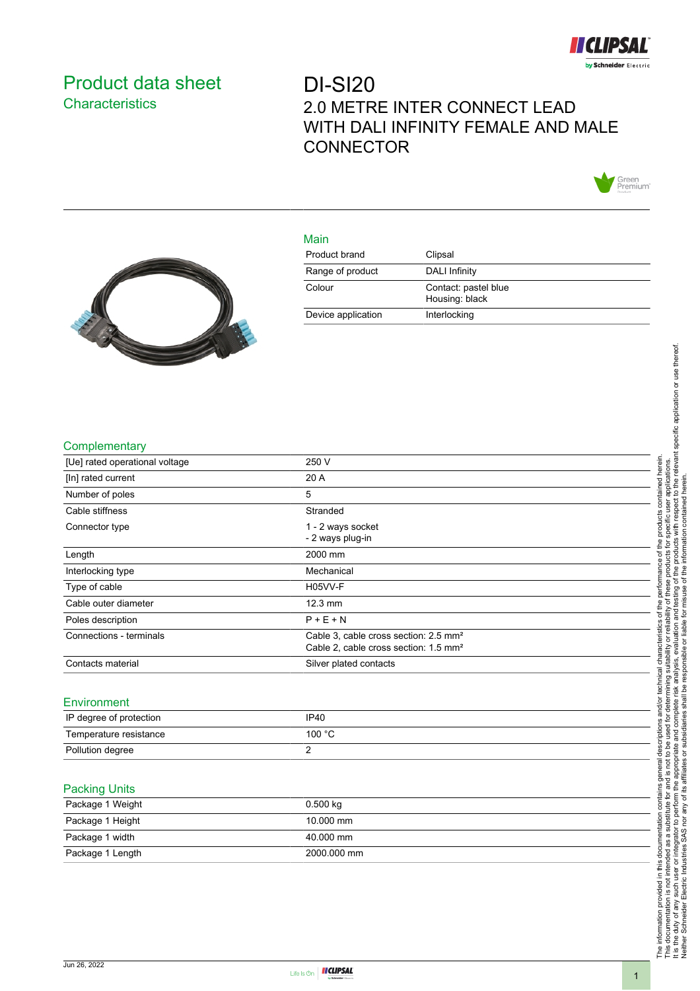

## <span id="page-0-0"></span>Product data sheet **Characteristics**

# DI-SI20 2.0 METRE INTER CONNECT LEAD WITH DALI INFINITY FEMALE AND MALE **CONNECTOR**



## Main



| 111111             |                                        |
|--------------------|----------------------------------------|
| Product brand      | Clipsal                                |
| Range of product   | <b>DALI Infinity</b>                   |
| Colour             | Contact: pastel blue<br>Housing: black |
| Device application | Interlocking                           |
|                    |                                        |

### **Complementary**

| [Ue] rated operational voltage | 250 V                                                                                                  |  |
|--------------------------------|--------------------------------------------------------------------------------------------------------|--|
| [In] rated current             | 20 A                                                                                                   |  |
| Number of poles                | 5                                                                                                      |  |
| Cable stiffness                | Stranded                                                                                               |  |
| Connector type                 | 1 - 2 ways socket<br>- 2 ways plug-in                                                                  |  |
| Length                         | 2000 mm                                                                                                |  |
| Interlocking type              | Mechanical                                                                                             |  |
| Type of cable                  | H05VV-F                                                                                                |  |
| Cable outer diameter           | 12.3 mm                                                                                                |  |
| Poles description              | $P + E + N$                                                                                            |  |
| Connections - terminals        | Cable 3, cable cross section: 2.5 mm <sup>2</sup><br>Cable 2, cable cross section: 1.5 mm <sup>2</sup> |  |
| Contacts material              | Silver plated contacts                                                                                 |  |
| Environment                    |                                                                                                        |  |
| ID degree of protection        | IDAO                                                                                                   |  |

| IP degree of protection | <b>IP40</b>      |
|-------------------------|------------------|
| Temperature resistance  | 100 $^{\circ}$ C |
| Pollution degree        |                  |

#### Packing Units

| Package 1 Weight | $0.500$ kg  |
|------------------|-------------|
| Package 1 Height | 10.000 mm   |
| Package 1 width  | 40.000 mm   |
| Package 1 Length | 2000.000 mm |